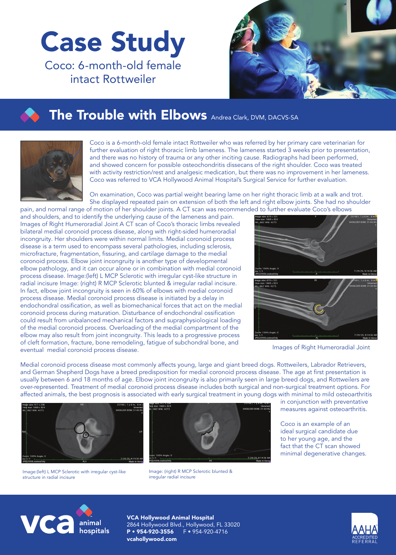## Case Study Coco: 6-month-old female intact Rottweiler



## **The Trouble with Elbows** Andrea Clark, DVM, DACVS-SA



Coco is a 6-month-old female intact Rottweiler who was referred by her primary care veterinarian for further evaluation of right thoracic limb lameness. The lameness started 3 weeks prior to presentation, and there was no history of trauma or any other inciting cause. Radiographs had been performed, and showed concern for possible osteochondritis dissecans of the right shoulder. Coco was treated with activity restriction/rest and analgesic medication, but there was no improvement in her lameness. Coco was referred to VCA Hollywood Animal Hospital's Surgical Service for further evaluation.

On examination, Coco was partial weight bearing lame on her right thoracic limb at a walk and trot. She displayed repeated pain on extension of both the left and right elbow joints. She had no shoulder pain, and normal range of motion of her shoulder joints. A CT scan was recommended to further evaluate Coco's elbows

and shoulders, and to identify the underlying cause of the lameness and pain. Images of Right Humeroradial Joint A CT scan of Coco's thoracic limbs revealed bilateral medial coronoid process disease, along with right-sided humeroradial incongruity. Her shoulders were within normal limits. Medial coronoid process disease is a term used to encompass several pathologies, including sclerosis, microfracture, fragmentation, fissuring, and cartilage damage to the medial coronoid process. Elbow joint incongruity is another type of developmental elbow pathology, and it can occur alone or in combination with medial coronoid process disease. Image:(left) L MCP Sclerotic with irregular cyst-like structure in radial incisure Image: (right) R MCP Sclerotic blunted & irregular radial incisure. In fact, elbow joint incongruity is seen in 60% of elbows with medial coronoid process disease. Medial coronoid process disease is initiated by a delay in endochondral ossification, as well as biomechanical forces that act on the medial coronoid process during maturation. Disturbance of endochondral ossification could result from unbalanced mechanical factors and supraphysiological loading of the medial coronoid process. Overloading of the medial compartment of the elbow may also result from joint incongruity. This leads to a progressive process of cleft formation, fracture, bone remodeling, fatigue of subchondral bone, and eventual medial coronoid process disease.



Images of Right Humeroradial Joint

Medial coronoid process disease most commonly affects young, large and giant breed dogs. Rottweilers, Labrador Retrievers, and German Shepherd Dogs have a breed predisposition for medial coronoid process disease. The age at first presentation is usually between 6 and 18 months of age. Elbow joint incongruity is also primarily seen in large breed dogs, and Rottweilers are over-represented. Treatment of medial coronoid process disease includes both surgical and non-surgical treatment options. For affected animals, the best prognosis is associated with early surgical treatment in young dogs with minimal to mild osteoarthritis



Image:(left) L MCP Sclerotic with irregular cyst-like structure in radial incisure



Image: (right) R MCP Sclerotic blunted & irregular radial incisure

in conjunction with preventative measures against osteoarthritis.

Coco is an example of an ideal surgical candidate due to her young age, and the fact that the CT scan showed minimal degenerative changes.



VCA Hollywood Animal Hospital 2864 Hollywood Blvd., Hollywood, FL 33020  $P • 954-920-3556$ vcahollywood.com